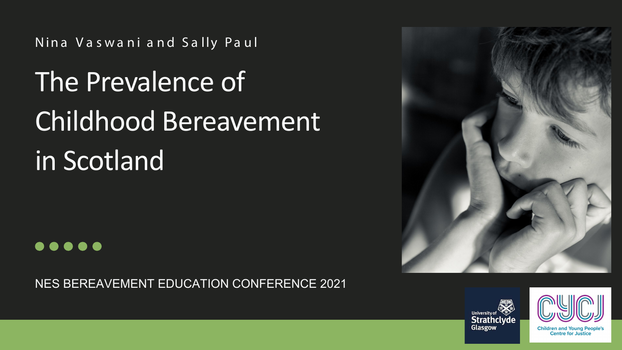Nina Va swa ni a nd Sa lly Pa ul

# The Prevalence of Childhood Bereavement in Scotland



NES BEREAVEMENT EDUCATION CONFERENCE 2021







**Children and Young Peop Centre for Justice**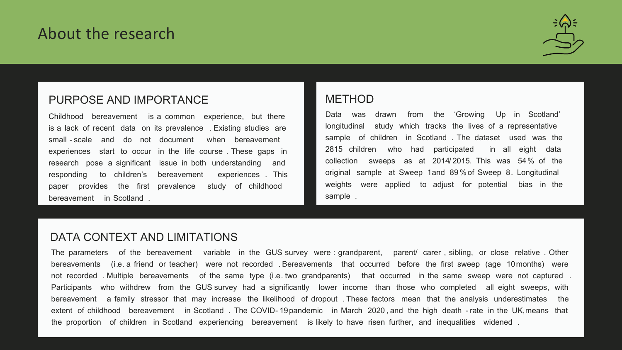#### PURPOSE AND IMPORTANCE

Childhood bereavement is a common experience, but there is a lack of recent data on its prevalence . Existing studies are small - scale and do not document when bereavement experiences start to occur in the life course . These gaps in research pose a significant issue in both understanding and responding to children's bereavement experiences . This paper provides the first prevalence study of childhood bereavement in Scotland .

#### METHOD

Data was drawn from the 'Growing Up in Scotland' longitudinal study which tracks the lives of a representative sample of children in Scotland . The dataset used was the 2815 children who had participated in all eight data collection sweeps as at 2014/ 2015. This was 54% of the original sample at Sweep 1and 89 %of Sweep 8. Longitudinal weights were applied to adjust for potential bias in the sample .

#### DATA CONTEXT AND LIMITATIONS

The parameters of the bereavement variable in the GUS survey were : grandparent, parent/ carer , sibling, or close relative . Other bereavements (i.e. a friend or teacher) were not recorded . Bereavements that occurred before the first sweep (age 10months) were not recorded . Multiple bereavements of the same type (i.e. two grandparents) that occurred in the same sweep were not captured . Participants who withdrew from the GUS survey had a significantly lower income than those who completed all eight sweeps, with bereavement a family stressor that may increase the likelihood of dropout . These factors mean that the analysis underestimates the extent of childhood bereavement in Scotland . The COVID- 19pandemic in March 2020 , and the high death - rate in the UK,means that the proportion of children in Scotland experiencing bereavement is likely to have risen further, and inequalities widened .



### About the research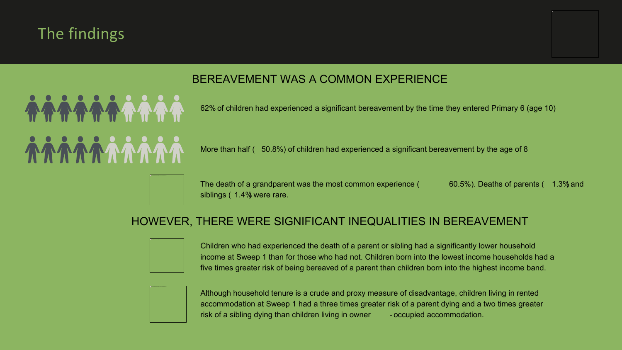## The findings

62% of children had experienced a significant bereavement by the time they entered Primary 6 (age 10)

More than half ( 50.8%) of children had experienced a significant bereavement by the age of 8

The death of a grandparent was the most common experience ( $60.5\%$ ). Deaths of parents ( $1.3\%$  and siblings (1.4%) were rare.

Although household tenure is a crude and proxy measure of disadvantage, children living in rented accommodation at Sweep 1 had a three times greater risk of a parent dying and a two times greater risk of a sibling dying than children living in owner - occupied accommodation.

#### HOWEVER, THERE WERE SIGNIFICANT INEQUALITIES IN BEREAVEMENT



Children who had experienced the death of a parent or sibling had a significantly lower household income at Sweep 1 than for those who had not. Children born into the lowest income households had a five times greater risk of being bereaved of a parent than children born into the highest income band.



#### BEREAVEMENT WAS A COMMON EXPERIENCE